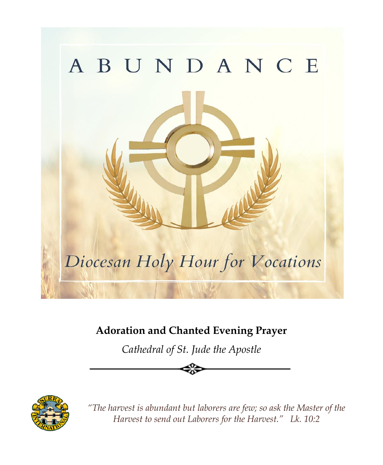

## **Adoration and Chanted Evening Prayer**

*Cathedral of St. Jude the Apostle*



*"The harvest is abundant but laborers are few; so ask the Master of the Harvest to send out Laborers for the Harvest." Lk. 10:2*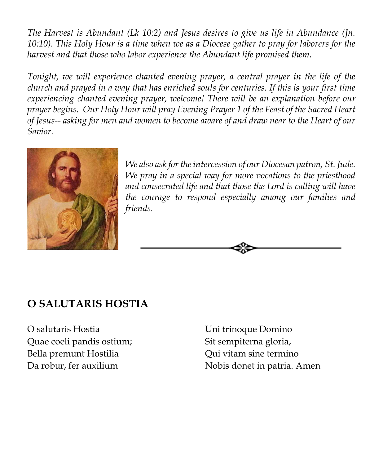*The Harvest is Abundant (Lk 10:2) and Jesus desires to give us life in Abundance (Jn. 10:10). This Holy Hour is a time when we as a Diocese gather to pray for laborers for the harvest and that those who labor experience the Abundant life promised them.* 

*Tonight, we will experience chanted evening prayer, a central prayer in the life of the church and prayed in a way that has enriched souls for centuries. If this is your first time experiencing chanted evening prayer, welcome! There will be an explanation before our prayer begins. Our Holy Hour will pray Evening Prayer 1 of the Feast of the Sacred Heart of Jesus-- asking for men and women to become aware of and draw near to the Heart of our Savior.*



*We also ask for the intercession of our Diocesan patron, St. Jude. We pray in a special way for more vocations to the priesthood and consecrated life and that those the Lord is calling will have the courage to respond especially among our families and friends.*



## **O SALUTARIS HOSTIA**

O salutaris Hostia Quae coeli pandis ostium; Bella premunt Hostilia Da robur, fer auxilium

Uni trinoque Domino Sit sempiterna gloria, Qui vitam sine termino Nobis donet in patria. Amen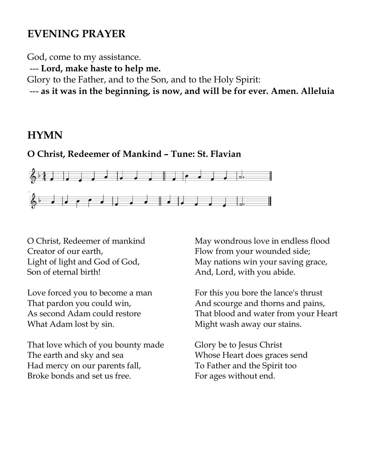### **EVENING PRAYER**

God, come to my assistance.

--- **Lord, make haste to help me.**

Glory to the Father, and to the Son, and to the Holy Spirit:

--- **as it was in the beginning, is now, and will be for ever. Amen. Alleluia**

### **HYMN**

#### **O Christ, Redeemer of Mankind – Tune: St. Flavian**



O Christ, Redeemer of mankind Creator of our earth, Light of light and God of God, Son of eternal birth!

Love forced you to become a man That pardon you could win, As second Adam could restore What Adam lost by sin.

That love which of you bounty made The earth and sky and sea Had mercy on our parents fall, Broke bonds and set us free.

May wondrous love in endless flood Flow from your wounded side; May nations win your saving grace, And, Lord, with you abide.

For this you bore the lance's thrust And scourge and thorns and pains, That blood and water from your Heart Might wash away our stains.

Glory be to Jesus Christ Whose Heart does graces send To Father and the Spirit too For ages without end.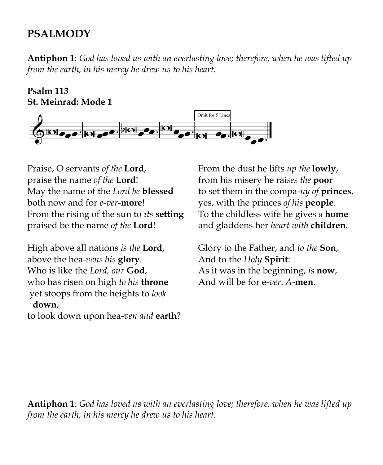### **PSALMODY**

**Antiphon 1**: *God has loved us with an everlasting love; therefore, when he was lifted up from the earth, in his mercy he drew us to his heart.*

**Psalm 113 St. Meinrad: Mode 1**



Praise, O servants *of the* **Lord**, praise the name *of the* **Lord**! May the name of the *Lord be* **blessed** both now and for *e-ver-***more**! From the rising of the sun to *its* **setting** praised be the name *of the* **Lord**!

High above all nations *is the* **Lord**, above the hea-*vens his* **glory**. Who is like the *Lord, our* **God**, who has risen on high *to his* **throne** yet stoops from the heights to *look* **down**,

to look down upon hea-*ven and* **earth**?

From the dust he lifts *up the* **lowly**, from his misery he rai*ses the* **poor** to set them in the compa-*ny of* **princes**, yes, with the princes *of his* **people**. To the childless wife he gives *a* **home** and gladdens her *heart with* **children**.

Glory to the Father, and *to the* **Son**, And to the *Holy* **Spirit**: As it was in the beginning, *is* **now**, And will be for e-*ver*. *A-***men**.

**Antiphon 1**: *God has loved us with an everlasting love; therefore, when he was lifted up from the earth, in his mercy he drew us to his heart.*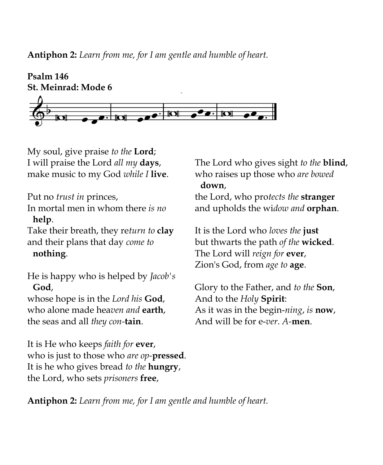**Antiphon 2:** *Learn from me, for I am gentle and humble of heart.*



My soul, give praise *to the* **Lord**; I will praise the Lord *all my* **days**, make music to my God *while I* **live**.

Put no *trust in* princes, In mortal men in whom there *is no* **help**.

Take their breath, they re*turn to* **clay** and their plans that day *come to* **nothing**.

He is happy who is helped by *Jacob's* **God**,

whose hope is in the *Lord his* **God**, who alone made hea*ven and* **earth**, the seas and all *they con-***tain**.

It is He who keeps *faith for* **ever**, who is just to those who *are op-***pressed**. It is he who gives bread *to the* **hungry**, the Lord, who sets *prisoners* **free**,

The Lord who gives sight *to the* **blind**, who raises up those who *are bowed* **down**,

the Lord, who pro*tects the* **stranger** and upholds the wi*dow and* **orphan**.

It is the Lord who *loves the* **just** but thwarts the path *of the* **wicked**. The Lord will *reign for* **ever**, Zion's God, from *age to* **age**.

Glory to the Father, and *to the* **Son**, And to the *Holy* **Spirit**: As it was in the begin-*ning*, *is* **now**, And will be for e-*ver*. *A-***men**.

**Antiphon 2:** *Learn from me, for I am gentle and humble of heart.*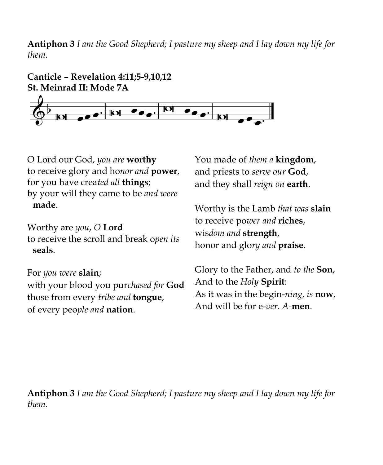**Antiphon 3** *I am the Good Shepherd; I pasture my sheep and I lay down my life for them.*



O Lord our God, *you are* **worthy** to receive glory and ho*nor and* **power**, for you have crea*ted all* **things**; by your will they came to be *and were* **made**.

Worthy are *you*, *O* **Lord** to receive the scroll and break o*pen its* **seals**.

For *you were* **slain**; with your blood you pur*chased for* **God** those from every *tribe and* **tongue**, of every peo*ple and* **nation**.

You made of *them a* **kingdom**, and priests to *serve our* **God**, and they shall *reign on* **earth**.

Worthy is the Lamb *that was* **slain** to receive po*wer and* **riches**, wis*dom and* **strength**, honor and glo*ry and* **praise**.

Glory to the Father, and *to the* **Son**, And to the *Holy* **Spirit**: As it was in the begin-*ning*, *is* **now**, And will be for e-*ver*. *A-***men**.

**Antiphon 3** *I am the Good Shepherd; I pasture my sheep and I lay down my life for them.*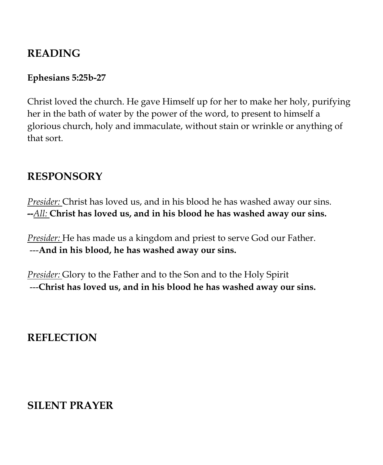### **READING**

#### **Ephesians 5:25b-27**

Christ loved the church. He gave Himself up for her to make her holy, purifying her in the bath of water by the power of the word, to present to himself a glorious church, holy and immaculate, without stain or wrinkle or anything of that sort.

### **RESPONSORY**

*Presider:* Christ has loved us, and in his blood he has washed away our sins. **--***All:* **Christ has loved us, and in his blood he has washed away our sins.**

*Presider:* He has made us a kingdom and priest to serve God our Father. ---**And in his blood, he has washed away our sins.**

*Presider:* Glory to the Father and to the Son and to the Holy Spirit ---**Christ has loved us, and in his blood he has washed away our sins.**

## **REFLECTION**

## **SILENT PRAYER**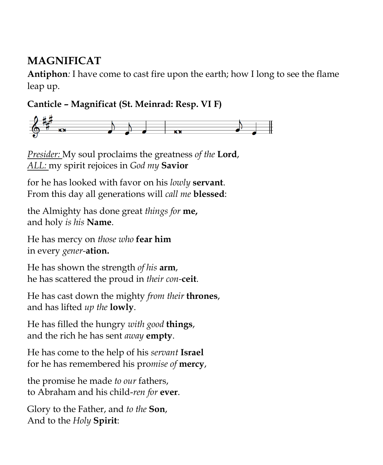## **MAGNIFICAT**

**Antiphon***:* I have come to cast fire upon the earth; how I long to see the flame leap up.

**Canticle – Magnificat (St. Meinrad: Resp. VI F)**



*Presider:* My soul proclaims the greatness *of the* **Lord**, *ALL:* my spirit rejoices in *God my* **Savior**

for he has looked with favor on his *lowly* **servant**. From this day all generations will *call me* **blessed**:

the Almighty has done great *things for* **me,** and holy *is his* **Name**.

He has mercy on *those who* **fear him** in every *gener-***ation.**

He has shown the strength *of his* **arm**, he has scattered the proud in *their con-***ceit**.

He has cast down the mighty *from their* **thrones**, and has lifted *up the* **lowly**.

He has filled the hungry *with good* **things**, and the rich he has sent *away* **empty**.

He has come to the help of his *servant* **Israel** for he has remembered his pro*mise of* **mercy**,

the promise he made *to our* fathers, to Abraham and his child-*ren for* **ever**.

Glory to the Father, and *to the* **Son**, And to the *Holy* **Spirit**: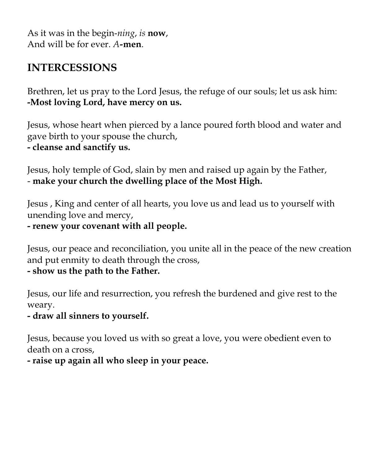As it was in the begin-*ning*, *is* **now**, And will be for ever. *A-***men**.

### **INTERCESSIONS**

Brethren, let us pray to the Lord Jesus, the refuge of our souls; let us ask him: **-Most loving Lord, have mercy on us.**

Jesus, whose heart when pierced by a lance poured forth blood and water and gave birth to your spouse the church, **- cleanse and sanctify us.**

Jesus, holy temple of God, slain by men and raised up again by the Father, - **make your church the dwelling place of the Most High.**

Jesus , King and center of all hearts, you love us and lead us to yourself with unending love and mercy,

**- renew your covenant with all people.**

Jesus, our peace and reconciliation, you unite all in the peace of the new creation and put enmity to death through the cross, **- show us the path to the Father.**

Jesus, our life and resurrection, you refresh the burdened and give rest to the weary.

#### **- draw all sinners to yourself.**

Jesus, because you loved us with so great a love, you were obedient even to death on a cross,

**- raise up again all who sleep in your peace.**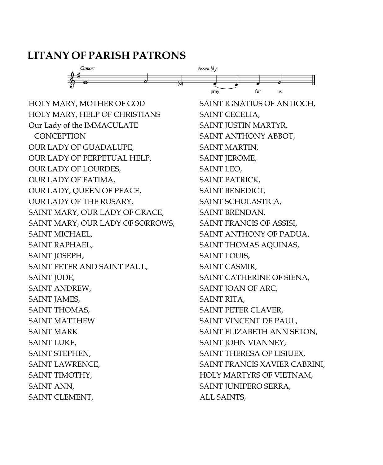#### **LITANY OF PARISH PATRONS**



HOLY MARY, MOTHER OF GOD HOLY MARY, HELP OF CHRISTIANS Our Lady of the IMMACULATE **CONCEPTION** OUR LADY OF GUADALUPE, OUR LADY OF PERPETUAL HELP, OUR LADY OF LOURDES, OUR LADY OF FATIMA, OUR LADY, QUEEN OF PEACE, OUR LADY OF THE ROSARY, SAINT MARY, OUR LADY OF GRACE, SAINT MARY, OUR LADY OF SORROWS, SAINT MICHAEL, SAINT RAPHAEL, SAINT JOSEPH, SAINT PETER AND SAINT PAUL, SAINT JUDE, SAINT ANDREW, SAINT JAMES, SAINT THOMAS, SAINT MATTHEW SAINT MARK SAINT LUKE, SAINT STEPHEN, SAINT LAWRENCE, SAINT TIMOTHY, SAINT ANN, SAINT CLEMENT,

SAINT IGNATIUS OF ANTIOCH, SAINT CECELIA, SAINT JUSTIN MARTYR, SAINT ANTHONY ABBOT, SAINT MARTIN, SAINT JEROME, SAINT LEO, SAINT PATRICK, SAINT BENEDICT, SAINT SCHOLASTICA, SAINT BRENDAN, SAINT FRANCIS OF ASSISI, SAINT ANTHONY OF PADUA, SAINT THOMAS AQUINAS, SAINT LOUIS, SAINT CASMIR, SAINT CATHERINE OF SIENA, SAINT JOAN OF ARC, SAINT RITA, SAINT PETER CLAVER, SAINT VINCENT DE PAUL, SAINT ELIZABETH ANN SETON, SAINT JOHN VIANNEY, SAINT THERESA OF LISIUEX, SAINT FRANCIS XAVIER CABRINI, HOLY MARTYRS OF VIETNAM, SAINT JUNIPERO SERRA, ALL SAINTS,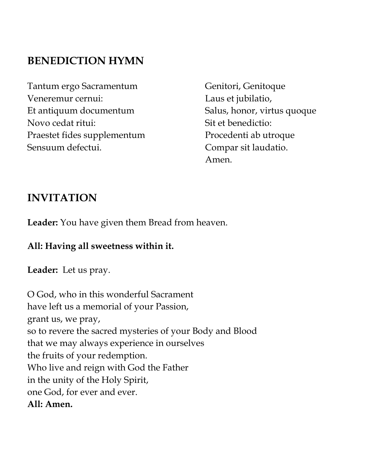## **BENEDICTION HYMN**

Tantum ergo Sacramentum Veneremur cernui: Et antiquum documentum Novo cedat ritui: Praestet fides supplementum Sensuum defectui.

Genitori, Genitoque Laus et jubilatio, Salus, honor, virtus quoque Sit et benedictio: Procedenti ab utroque Compar sit laudatio. Amen.

### **INVITATION**

**Leader:** You have given them Bread from heaven.

#### **All: Having all sweetness within it.**

**Leader:** Let us pray.

O God, who in this wonderful Sacrament have left us a memorial of your Passion, grant us, we pray, so to revere the sacred mysteries of your Body and Blood that we may always experience in ourselves the fruits of your redemption. Who live and reign with God the Father in the unity of the Holy Spirit, one God, for ever and ever. **All: Amen.**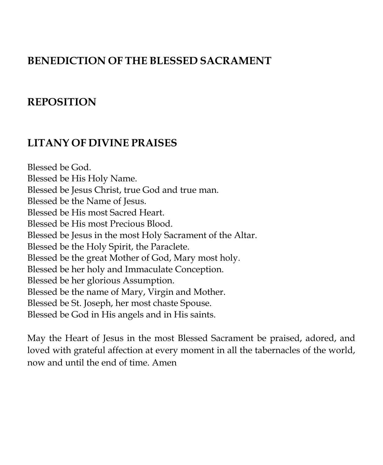### **BENEDICTION OF THE BLESSED SACRAMENT**

### **REPOSITION**

### **LITANY OF DIVINE PRAISES**

Blessed be God. Blessed be His Holy Name. Blessed be Jesus Christ, true God and true man. Blessed be the Name of Jesus. Blessed be His most Sacred Heart. Blessed be His most Precious Blood. Blessed be Jesus in the most Holy Sacrament of the Altar. Blessed be the Holy Spirit, the Paraclete. Blessed be the great Mother of God, Mary most holy. Blessed be her holy and Immaculate Conception. Blessed be her glorious Assumption. Blessed be the name of Mary, Virgin and Mother. Blessed be St. Joseph, her most chaste Spouse. Blessed be God in His angels and in His saints.

May the Heart of Jesus in the most Blessed Sacrament be praised, adored, and loved with grateful affection at every moment in all the tabernacles of the world, now and until the end of time. Amen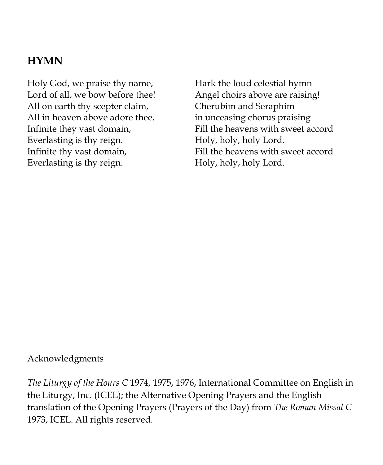### **HYMN**

Holy God, we praise thy name, Lord of all, we bow before thee! All on earth thy scepter claim, All in heaven above adore thee. Infinite they vast domain, Everlasting is thy reign. Infinite thy vast domain, Everlasting is thy reign.

Hark the loud celestial hymn Angel choirs above are raising! Cherubim and Seraphim in unceasing chorus praising Fill the heavens with sweet accord Holy, holy, holy Lord. Fill the heavens with sweet accord Holy, holy, holy Lord.

#### Acknowledgments

*The Liturgy of the Hours C* 1974, 1975, 1976, International Committee on English in the Liturgy, Inc. (ICEL); the Alternative Opening Prayers and the English translation of the Opening Prayers (Prayers of the Day) from *The Roman Missal C*  1973, ICEL. All rights reserved.